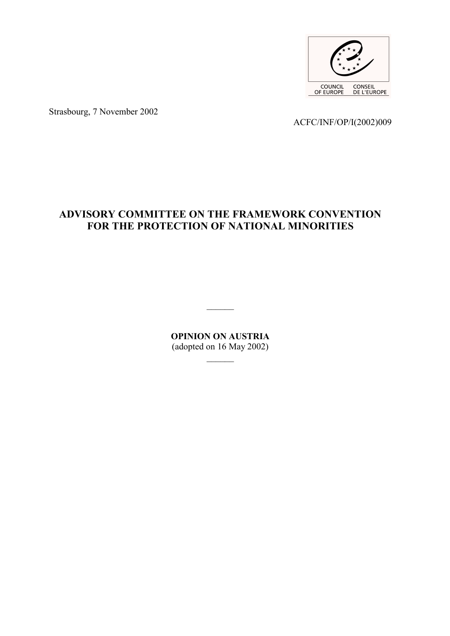

Strasbourg, 7 November 2002

ACFC/INF/OP/I(2002)009

# **ADVISORY COMMITTEE ON THE FRAMEWORK CONVENTION FOR THE PROTECTION OF NATIONAL MINORITIES**

**OPINION ON AUSTRIA** (adopted on 16 May 2002)

 $\frac{1}{2}$ 

 $\overline{\phantom{a}}$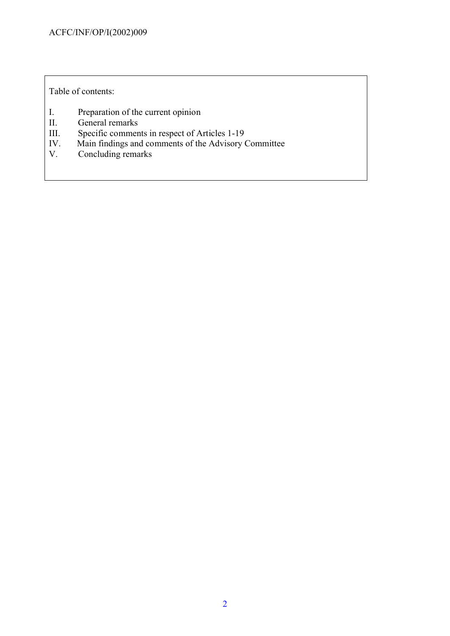Table of contents:

- I. Preparation of the current opinion<br>II. General remarks
- II. General remarks<br>III. Specific commen
- Specific comments in respect of Articles 1-19
- IV. Main findings and comments of the Advisory Committee
- V. Concluding remarks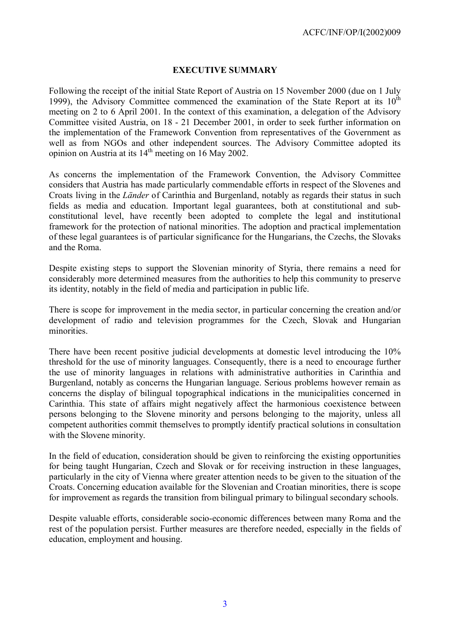#### **EXECUTIVE SUMMARY**

Following the receipt of the initial State Report of Austria on 15 November 2000 (due on 1 July 1999), the Advisory Committee commenced the examination of the State Report at its  $10^{th}$ meeting on 2 to 6 April 2001. In the context of this examination, a delegation of the Advisory Committee visited Austria, on 18 - 21 December 2001, in order to seek further information on the implementation of the Framework Convention from representatives of the Government as well as from NGOs and other independent sources. The Advisory Committee adopted its opinion on Austria at its  $14<sup>th</sup>$  meeting on 16 May 2002.

As concerns the implementation of the Framework Convention, the Advisory Committee considers that Austria has made particularly commendable efforts in respect of the Slovenes and Croats living in the *Länder* of Carinthia and Burgenland, notably as regards their status in such fields as media and education. Important legal guarantees, both at constitutional and subconstitutional level, have recently been adopted to complete the legal and institutional framework for the protection of national minorities. The adoption and practical implementation of these legal guarantees is of particular significance for the Hungarians, the Czechs, the Slovaks and the Roma.

Despite existing steps to support the Slovenian minority of Styria, there remains a need for considerably more determined measures from the authorities to help this community to preserve its identity, notably in the field of media and participation in public life.

There is scope for improvement in the media sector, in particular concerning the creation and/or development of radio and television programmes for the Czech, Slovak and Hungarian minorities.

There have been recent positive judicial developments at domestic level introducing the 10% threshold for the use of minority languages. Consequently, there is a need to encourage further the use of minority languages in relations with administrative authorities in Carinthia and Burgenland, notably as concerns the Hungarian language. Serious problems however remain as concerns the display of bilingual topographical indications in the municipalities concerned in Carinthia. This state of affairs might negatively affect the harmonious coexistence between persons belonging to the Slovene minority and persons belonging to the majority, unless all competent authorities commit themselves to promptly identify practical solutions in consultation with the Slovene minority.

In the field of education, consideration should be given to reinforcing the existing opportunities for being taught Hungarian, Czech and Slovak or for receiving instruction in these languages, particularly in the city of Vienna where greater attention needs to be given to the situation of the Croats. Concerning education available for the Slovenian and Croatian minorities, there is scope for improvement as regards the transition from bilingual primary to bilingual secondary schools.

Despite valuable efforts, considerable socio-economic differences between many Roma and the rest of the population persist. Further measures are therefore needed, especially in the fields of education, employment and housing.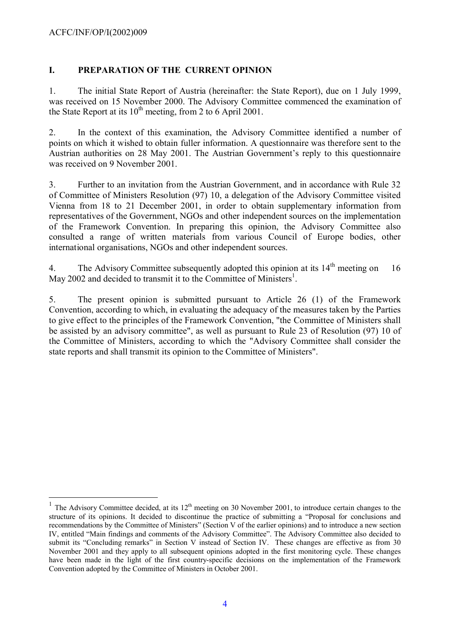#### ACFC/INF/OP/I(2002)009

 $\overline{a}$ 

#### **I. PREPARATION OF THE CURRENT OPINION**

1. The initial State Report of Austria (hereinafter: the State Report), due on 1 July 1999, was received on 15 November 2000. The Advisory Committee commenced the examination of the State Report at its  $10^{th}$  meeting, from 2 to 6 April 2001.

2. In the context of this examination, the Advisory Committee identified a number of points on which it wished to obtain fuller information. A questionnaire was therefore sent to the Austrian authorities on 28 May 2001. The Austrian Government's reply to this questionnaire was received on 9 November 2001.

3. Further to an invitation from the Austrian Government, and in accordance with Rule 32 of Committee of Ministers Resolution (97) 10, a delegation of the Advisory Committee visited Vienna from 18 to 21 December 2001, in order to obtain supplementary information from representatives of the Government, NGOs and other independent sources on the implementation of the Framework Convention. In preparing this opinion, the Advisory Committee also consulted a range of written materials from various Council of Europe bodies, other international organisations, NGOs and other independent sources.

4. The Advisory Committee subsequently adopted this opinion at its  $14<sup>th</sup>$  meeting on 16 May 2002 and decided to transmit it to the Committee of Ministers<sup>[1](#page-3-0)</sup>.

5. The present opinion is submitted pursuant to Article 26 (1) of the Framework Convention, according to which, in evaluating the adequacy of the measures taken by the Parties to give effect to the principles of the Framework Convention, "the Committee of Ministers shall be assisted by an advisory committee", as well as pursuant to Rule 23 of Resolution (97) 10 of the Committee of Ministers, according to which the "Advisory Committee shall consider the state reports and shall transmit its opinion to the Committee of Ministers".

<span id="page-3-0"></span><sup>1</sup> The Advisory Committee decided, at its  $12<sup>th</sup>$  meeting on 30 November 2001, to introduce certain changes to the structure of its opinions. It decided to discontinue the practice of submitting a "Proposal for conclusions and recommendations by the Committee of Ministers" (Section V of the earlier opinions) and to introduce a new section IV, entitled "Main findings and comments of the Advisory Committee". The Advisory Committee also decided to submit its "Concluding remarks" in Section V instead of Section IV. These changes are effective as from 30 November 2001 and they apply to all subsequent opinions adopted in the first monitoring cycle. These changes have been made in the light of the first country-specific decisions on the implementation of the Framework Convention adopted by the Committee of Ministers in October 2001.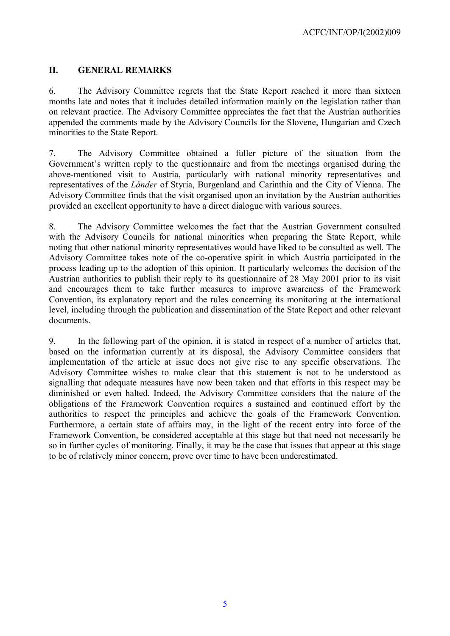### **II. GENERAL REMARKS**

6. The Advisory Committee regrets that the State Report reached it more than sixteen months late and notes that it includes detailed information mainly on the legislation rather than on relevant practice. The Advisory Committee appreciates the fact that the Austrian authorities appended the comments made by the Advisory Councils for the Slovene, Hungarian and Czech minorities to the State Report.

7. The Advisory Committee obtained a fuller picture of the situation from the Government's written reply to the questionnaire and from the meetings organised during the above-mentioned visit to Austria, particularly with national minority representatives and representatives of the *Länder* of Styria, Burgenland and Carinthia and the City of Vienna. The Advisory Committee finds that the visit organised upon an invitation by the Austrian authorities provided an excellent opportunity to have a direct dialogue with various sources.

8. The Advisory Committee welcomes the fact that the Austrian Government consulted with the Advisory Councils for national minorities when preparing the State Report, while noting that other national minority representatives would have liked to be consulted as well. The Advisory Committee takes note of the co-operative spirit in which Austria participated in the process leading up to the adoption of this opinion. It particularly welcomes the decision of the Austrian authorities to publish their reply to its questionnaire of 28 May 2001 prior to its visit and encourages them to take further measures to improve awareness of the Framework Convention, its explanatory report and the rules concerning its monitoring at the international level, including through the publication and dissemination of the State Report and other relevant documents.

9. In the following part of the opinion, it is stated in respect of a number of articles that, based on the information currently at its disposal, the Advisory Committee considers that implementation of the article at issue does not give rise to any specific observations. The Advisory Committee wishes to make clear that this statement is not to be understood as signalling that adequate measures have now been taken and that efforts in this respect may be diminished or even halted. Indeed, the Advisory Committee considers that the nature of the obligations of the Framework Convention requires a sustained and continued effort by the authorities to respect the principles and achieve the goals of the Framework Convention. Furthermore, a certain state of affairs may, in the light of the recent entry into force of the Framework Convention, be considered acceptable at this stage but that need not necessarily be so in further cycles of monitoring. Finally, it may be the case that issues that appear at this stage to be of relatively minor concern, prove over time to have been underestimated.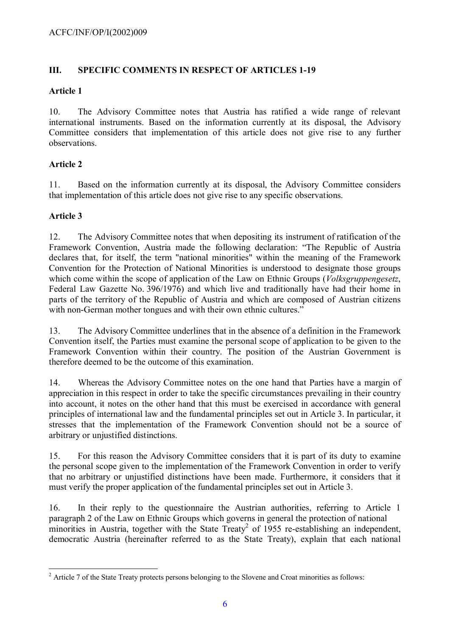### **III. SPECIFIC COMMENTS IN RESPECT OF ARTICLES 1-19**

### **Article 1**

10. The Advisory Committee notes that Austria has ratified a wide range of relevant international instruments. Based on the information currently at its disposal, the Advisory Committee considers that implementation of this article does not give rise to any further observations.

# **Article 2**

11. Based on the information currently at its disposal, the Advisory Committee considers that implementation of this article does not give rise to any specific observations.

# **Article 3**

12. The Advisory Committee notes that when depositing its instrument of ratification of the Framework Convention, Austria made the following declaration: "The Republic of Austria declares that, for itself, the term "national minorities" within the meaning of the Framework Convention for the Protection of National Minorities is understood to designate those groups which come within the scope of application of the Law on Ethnic Groups (*Volksgruppengesetz*, Federal Law Gazette No. 396/1976) and which live and traditionally have had their home in parts of the territory of the Republic of Austria and which are composed of Austrian citizens with non-German mother tongues and with their own ethnic cultures."

13. The Advisory Committee underlines that in the absence of a definition in the Framework Convention itself, the Parties must examine the personal scope of application to be given to the Framework Convention within their country. The position of the Austrian Government is therefore deemed to be the outcome of this examination.

14. Whereas the Advisory Committee notes on the one hand that Parties have a margin of appreciation in this respect in order to take the specific circumstances prevailing in their country into account, it notes on the other hand that this must be exercised in accordance with general principles of international law and the fundamental principles set out in Article 3. In particular, it stresses that the implementation of the Framework Convention should not be a source of arbitrary or unjustified distinctions.

15. For this reason the Advisory Committee considers that it is part of its duty to examine the personal scope given to the implementation of the Framework Convention in order to verify that no arbitrary or unjustified distinctions have been made. Furthermore, it considers that it must verify the proper application of the fundamental principles set out in Article 3.

16. In their reply to the questionnaire the Austrian authorities, referring to Article 1 paragraph 2 of the Law on Ethnic Groups which governs in general the protection of national minorities in Austria, together with the State Treaty<sup>[2](#page-5-0)</sup> of 1955 re-establishing an independent, democratic Austria (hereinafter referred to as the State Treaty), explain that each national

<span id="page-5-0"></span> $\overline{a}$  $2<sup>2</sup>$  Article 7 of the State Treaty protects persons belonging to the Slovene and Croat minorities as follows: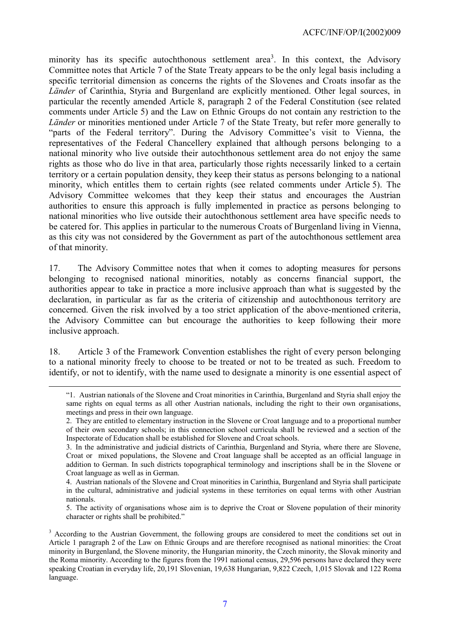minority has its specific autochthonous settlement area<sup>[3](#page-6-0)</sup>. In this context, the Advisory Committee notes that Article 7 of the State Treaty appears to be the only legal basis including a specific territorial dimension as concerns the rights of the Slovenes and Croats insofar as the *Länder* of Carinthia, Styria and Burgenland are explicitly mentioned. Other legal sources, in particular the recently amended Article 8, paragraph 2 of the Federal Constitution (see related comments under Article 5) and the Law on Ethnic Groups do not contain any restriction to the *Länder* or minorities mentioned under Article 7 of the State Treaty, but refer more generally to "parts of the Federal territory". During the Advisory Committee's visit to Vienna, the representatives of the Federal Chancellery explained that although persons belonging to a national minority who live outside their autochthonous settlement area do not enjoy the same rights as those who do live in that area, particularly those rights necessarily linked to a certain territory or a certain population density, they keep their status as persons belonging to a national minority, which entitles them to certain rights (see related comments under Article 5). The Advisory Committee welcomes that they keep their status and encourages the Austrian authorities to ensure this approach is fully implemented in practice as persons belonging to national minorities who live outside their autochthonous settlement area have specific needs to be catered for. This applies in particular to the numerous Croats of Burgenland living in Vienna, as this city was not considered by the Government as part of the autochthonous settlement area of that minority.

17. The Advisory Committee notes that when it comes to adopting measures for persons belonging to recognised national minorities, notably as concerns financial support, the authorities appear to take in practice a more inclusive approach than what is suggested by the declaration, in particular as far as the criteria of citizenship and autochthonous territory are concerned. Given the risk involved by a too strict application of the above-mentioned criteria, the Advisory Committee can but encourage the authorities to keep following their more inclusive approach.

18. Article 3 of the Framework Convention establishes the right of every person belonging to a national minority freely to choose to be treated or not to be treated as such. Freedom to identify, or not to identify, with the name used to designate a minority is one essential aspect of

 $\overline{a}$ 

5. The activity of organisations whose aim is to deprive the Croat or Slovene population of their minority character or rights shall be prohibited."

<sup>&</sup>quot;1. Austrian nationals of the Slovene and Croat minorities in Carinthia, Burgenland and Styria shall enjoy the same rights on equal terms as all other Austrian nationals, including the right to their own organisations, meetings and press in their own language.

<sup>2.</sup> They are entitled to elementary instruction in the Slovene or Croat language and to a proportional number of their own secondary schools; in this connection school curricula shall be reviewed and a section of the Inspectorate of Education shall be established for Slovene and Croat schools.

<sup>3.</sup> In the administrative and judicial districts of Carinthia, Burgenland and Styria, where there are Slovene, Croat or mixed populations, the Slovene and Croat language shall be accepted as an official language in addition to German. In such districts topographical terminology and inscriptions shall be in the Slovene or Croat language as well as in German.

<sup>4.</sup> Austrian nationals of the Slovene and Croat minorities in Carinthia, Burgenland and Styria shall participate in the cultural, administrative and judicial systems in these territories on equal terms with other Austrian nationals.

<span id="page-6-0"></span><sup>&</sup>lt;sup>3</sup> According to the Austrian Government, the following groups are considered to meet the conditions set out in Article 1 paragraph 2 of the Law on Ethnic Groups and are therefore recognised as national minorities: the Croat minority in Burgenland, the Slovene minority, the Hungarian minority, the Czech minority, the Slovak minority and the Roma minority. According to the figures from the 1991 national census, 29,596 persons have declared they were speaking Croatian in everyday life, 20,191 Slovenian, 19,638 Hungarian, 9,822 Czech, 1,015 Slovak and 122 Roma language.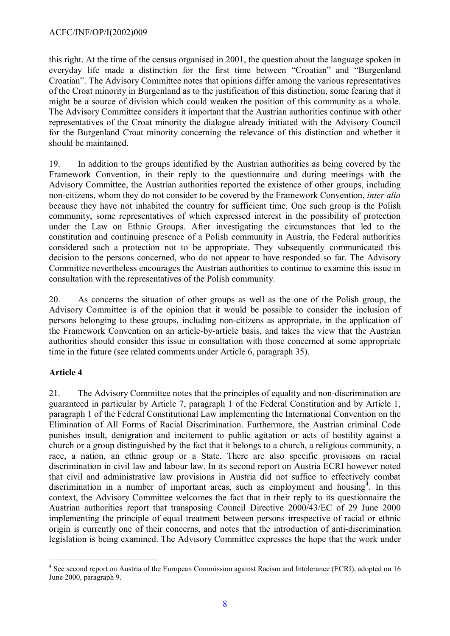this right. At the time of the census organised in 2001, the question about the language spoken in everyday life made a distinction for the first time between "Croatian" and "Burgenland Croatian". The Advisory Committee notes that opinions differ among the various representatives of the Croat minority in Burgenland as to the justification of this distinction, some fearing that it might be a source of division which could weaken the position of this community as a whole. The Advisory Committee considers it important that the Austrian authorities continue with other representatives of the Croat minority the dialogue already initiated with the Advisory Council for the Burgenland Croat minority concerning the relevance of this distinction and whether it should be maintained.

19. In addition to the groups identified by the Austrian authorities as being covered by the Framework Convention, in their reply to the questionnaire and during meetings with the Advisory Committee, the Austrian authorities reported the existence of other groups, including non-citizens, whom they do not consider to be covered by the Framework Convention, *inter alia* because they have not inhabited the country for sufficient time. One such group is the Polish community, some representatives of which expressed interest in the possibility of protection under the Law on Ethnic Groups. After investigating the circumstances that led to the constitution and continuing presence of a Polish community in Austria, the Federal authorities considered such a protection not to be appropriate. They subsequently communicated this decision to the persons concerned, who do not appear to have responded so far. The Advisory Committee nevertheless encourages the Austrian authorities to continue to examine this issue in consultation with the representatives of the Polish community.

20. As concerns the situation of other groups as well as the one of the Polish group, the Advisory Committee is of the opinion that it would be possible to consider the inclusion of persons belonging to these groups, including non-citizens as appropriate, in the application of the Framework Convention on an article-by-article basis, and takes the view that the Austrian authorities should consider this issue in consultation with those concerned at some appropriate time in the future (see related comments under Article 6, paragraph 35).

### **Article 4**

 $\overline{a}$ 

21. The Advisory Committee notes that the principles of equality and non-discrimination are guaranteed in particular by Article 7, paragraph 1 of the Federal Constitution and by Article 1, paragraph 1 of the Federal Constitutional Law implementing the International Convention on the Elimination of All Forms of Racial Discrimination. Furthermore, the Austrian criminal Code punishes insult, denigration and incitement to public agitation or acts of hostility against a church or a group distinguished by the fact that it belongs to a church, a religious community, a race, a nation, an ethnic group or a State. There are also specific provisions on racial discrimination in civil law and labour law. In its second report on Austria ECRI however noted that civil and administrative law provisions in Austria did not suffice to effectively combat discrimination in a number of important areas, such as employment and housing  $\frac{4}{1}$  $\frac{4}{1}$  $\frac{4}{1}$ . In this context, the Advisory Committee welcomes the fact that in their reply to its questionnaire the Austrian authorities report that transposing Council Directive 2000/43/EC of 29 June 2000 implementing the principle of equal treatment between persons irrespective of racial or ethnic origin is currently one of their concerns, and notes that the introduction of anti-discrimination legislation is being examined. The Advisory Committee expresses the hope that the work under

<span id="page-7-0"></span><sup>&</sup>lt;sup>4</sup> See second report on Austria of the European Commission against Racism and Intolerance (ECRI), adopted on 16 June 2000, paragraph 9.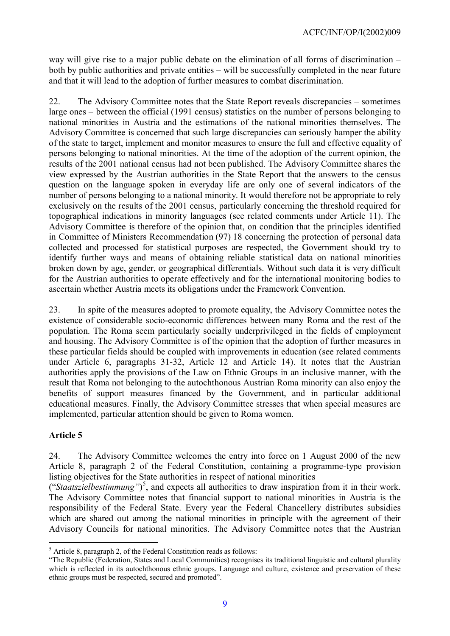way will give rise to a major public debate on the elimination of all forms of discrimination – both by public authorities and private entities – will be successfully completed in the near future and that it will lead to the adoption of further measures to combat discrimination.

22. The Advisory Committee notes that the State Report reveals discrepancies – sometimes large ones – between the official (1991 census) statistics on the number of persons belonging to national minorities in Austria and the estimations of the national minorities themselves. The Advisory Committee is concerned that such large discrepancies can seriously hamper the ability of the state to target, implement and monitor measures to ensure the full and effective equality of persons belonging to national minorities. At the time of the adoption of the current opinion, the results of the 2001 national census had not been published. The Advisory Committee shares the view expressed by the Austrian authorities in the State Report that the answers to the census question on the language spoken in everyday life are only one of several indicators of the number of persons belonging to a national minority. It would therefore not be appropriate to rely exclusively on the results of the 2001 census, particularly concerning the threshold required for topographical indications in minority languages (see related comments under Article 11). The Advisory Committee is therefore of the opinion that, on condition that the principles identified in Committee of Ministers Recommendation (97) 18 concerning the protection of personal data collected and processed for statistical purposes are respected, the Government should try to identify further ways and means of obtaining reliable statistical data on national minorities broken down by age, gender, or geographical differentials. Without such data it is very difficult for the Austrian authorities to operate effectively and for the international monitoring bodies to ascertain whether Austria meets its obligations under the Framework Convention.

23. In spite of the measures adopted to promote equality, the Advisory Committee notes the existence of considerable socio-economic differences between many Roma and the rest of the population. The Roma seem particularly socially underprivileged in the fields of employment and housing. The Advisory Committee is of the opinion that the adoption of further measures in these particular fields should be coupled with improvements in education (see related comments under Article 6, paragraphs 31-32, Article 12 and Article 14). It notes that the Austrian authorities apply the provisions of the Law on Ethnic Groups in an inclusive manner, with the result that Roma not belonging to the autochthonous Austrian Roma minority can also enjoy the benefits of support measures financed by the Government, and in particular additional educational measures. Finally, the Advisory Committee stresses that when special measures are implemented, particular attention should be given to Roma women.

### **Article 5**

24. The Advisory Committee welcomes the entry into force on 1 August 2000 of the new Article 8, paragraph 2 of the Federal Constitution, containing a programme-type provision listing objectives for the State authorities in respect of national minorities

("*Staatszielbestimmung"*) [5](#page-8-0) , and expects all authorities to draw inspiration from it in their work. The Advisory Committee notes that financial support to national minorities in Austria is the responsibility of the Federal State. Every year the Federal Chancellery distributes subsidies which are shared out among the national minorities in principle with the agreement of their Advisory Councils for national minorities. The Advisory Committee notes that the Austrian

<span id="page-8-0"></span> $\overline{a}$ <sup>5</sup> Article 8, paragraph 2, of the Federal Constitution reads as follows:

<sup>&</sup>quot;The Republic (Federation, States and Local Communities) recognises its traditional linguistic and cultural plurality which is reflected in its autochthonous ethnic groups. Language and culture, existence and preservation of these ethnic groups must be respected, secured and promoted".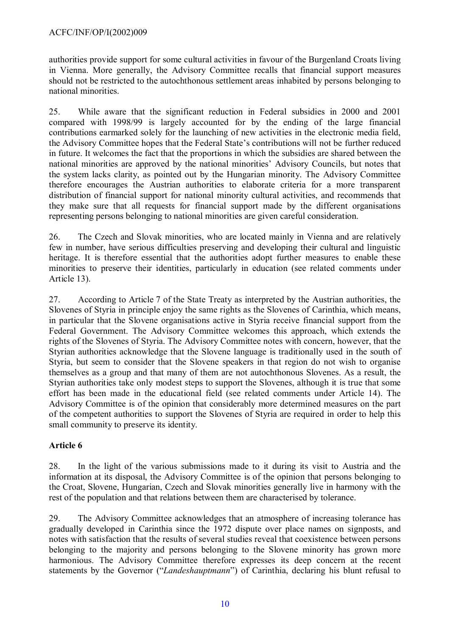#### ACFC/INF/OP/I(2002)009

authorities provide support for some cultural activities in favour of the Burgenland Croats living in Vienna. More generally, the Advisory Committee recalls that financial support measures should not be restricted to the autochthonous settlement areas inhabited by persons belonging to national minorities.

25. While aware that the significant reduction in Federal subsidies in 2000 and 2001 compared with 1998/99 is largely accounted for by the ending of the large financial contributions earmarked solely for the launching of new activities in the electronic media field, the Advisory Committee hopes that the Federal State's contributions will not be further reduced in future. It welcomes the fact that the proportions in which the subsidies are shared between the national minorities are approved by the national minorities' Advisory Councils, but notes that the system lacks clarity, as pointed out by the Hungarian minority. The Advisory Committee therefore encourages the Austrian authorities to elaborate criteria for a more transparent distribution of financial support for national minority cultural activities, and recommends that they make sure that all requests for financial support made by the different organisations representing persons belonging to national minorities are given careful consideration.

26. The Czech and Slovak minorities, who are located mainly in Vienna and are relatively few in number, have serious difficulties preserving and developing their cultural and linguistic heritage. It is therefore essential that the authorities adopt further measures to enable these minorities to preserve their identities, particularly in education (see related comments under Article 13).

27. According to Article 7 of the State Treaty as interpreted by the Austrian authorities, the Slovenes of Styria in principle enjoy the same rights as the Slovenes of Carinthia, which means, in particular that the Slovene organisations active in Styria receive financial support from the Federal Government. The Advisory Committee welcomes this approach, which extends the rights of the Slovenes of Styria. The Advisory Committee notes with concern, however, that the Styrian authorities acknowledge that the Slovene language is traditionally used in the south of Styria, but seem to consider that the Slovene speakers in that region do not wish to organise themselves as a group and that many of them are not autochthonous Slovenes. As a result, the Styrian authorities take only modest steps to support the Slovenes, although it is true that some effort has been made in the educational field (see related comments under Article 14). The Advisory Committee is of the opinion that considerably more determined measures on the part of the competent authorities to support the Slovenes of Styria are required in order to help this small community to preserve its identity.

### **Article 6**

28. In the light of the various submissions made to it during its visit to Austria and the information at its disposal, the Advisory Committee is of the opinion that persons belonging to the Croat, Slovene, Hungarian, Czech and Slovak minorities generally live in harmony with the rest of the population and that relations between them are characterised by tolerance.

29. The Advisory Committee acknowledges that an atmosphere of increasing tolerance has gradually developed in Carinthia since the 1972 dispute over place names on signposts, and notes with satisfaction that the results of several studies reveal that coexistence between persons belonging to the majority and persons belonging to the Slovene minority has grown more harmonious. The Advisory Committee therefore expresses its deep concern at the recent statements by the Governor ("*Landeshauptmann*") of Carinthia, declaring his blunt refusal to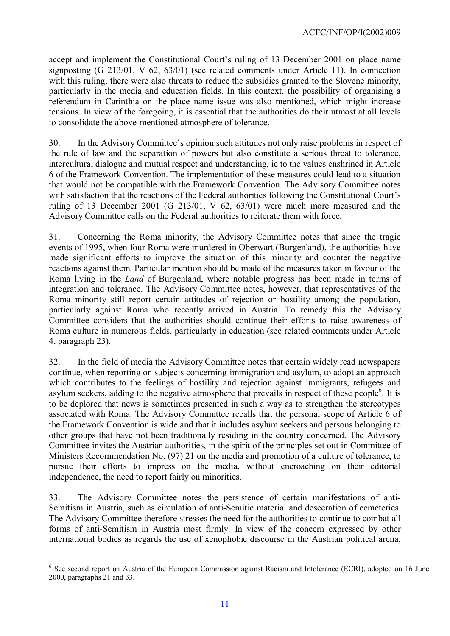accept and implement the Constitutional Court's ruling of 13 December 2001 on place name signposting (G 213/01, V 62, 63/01) (see related comments under Article 11). In connection with this ruling, there were also threats to reduce the subsidies granted to the Slovene minority, particularly in the media and education fields. In this context, the possibility of organising a referendum in Carinthia on the place name issue was also mentioned, which might increase tensions. In view of the foregoing, it is essential that the authorities do their utmost at all levels to consolidate the above-mentioned atmosphere of tolerance.

30. In the Advisory Committee's opinion such attitudes not only raise problems in respect of the rule of law and the separation of powers but also constitute a serious threat to tolerance, intercultural dialogue and mutual respect and understanding, ie to the values enshrined in Article 6 of the Framework Convention. The implementation of these measures could lead to a situation that would not be compatible with the Framework Convention. The Advisory Committee notes with satisfaction that the reactions of the Federal authorities following the Constitutional Court's ruling of 13 December 2001 (G 213/01, V 62, 63/01) were much more measured and the Advisory Committee calls on the Federal authorities to reiterate them with force.

31. Concerning the Roma minority, the Advisory Committee notes that since the tragic events of 1995, when four Roma were murdered in Oberwart (Burgenland), the authorities have made significant efforts to improve the situation of this minority and counter the negative reactions against them. Particular mention should be made of the measures taken in favour of the Roma living in the *Land* of Burgenland, where notable progress has been made in terms of integration and tolerance. The Advisory Committee notes, however, that representatives of the Roma minority still report certain attitudes of rejection or hostility among the population, particularly against Roma who recently arrived in Austria. To remedy this the Advisory Committee considers that the authorities should continue their efforts to raise awareness of Roma culture in numerous fields, particularly in education (see related comments under Article 4, paragraph 23).

32. In the field of media the Advisory Committee notes that certain widely read newspapers continue, when reporting on subjects concerning immigration and asylum, to adopt an approach which contributes to the feelings of hostility and rejection against immigrants, refugees and asylum seekers, adding to the negative atmosphere that prevails in respect of these people<sup>[6](#page-10-0)</sup>. It is to be deplored that news is sometimes presented in such a way as to strengthen the stereotypes associated with Roma. The Advisory Committee recalls that the personal scope of Article 6 of the Framework Convention is wide and that it includes asylum seekers and persons belonging to other groups that have not been traditionally residing in the country concerned. The Advisory Committee invites the Austrian authorities, in the spirit of the principles set out in Committee of Ministers Recommendation No. (97) 21 on the media and promotion of a culture of tolerance, to pursue their efforts to impress on the media, without encroaching on their editorial independence, the need to report fairly on minorities.

33. The Advisory Committee notes the persistence of certain manifestations of anti-Semitism in Austria, such as circulation of anti-Semitic material and desecration of cemeteries. The Advisory Committee therefore stresses the need for the authorities to continue to combat all forms of anti-Semitism in Austria most firmly. In view of the concern expressed by other international bodies as regards the use of xenophobic discourse in the Austrian political arena,

 $\overline{a}$ 

<span id="page-10-0"></span><sup>&</sup>lt;sup>6</sup> See second report on Austria of the European Commission against Racism and Intolerance (ECRI), adopted on 16 June 2000, paragraphs 21 and 33.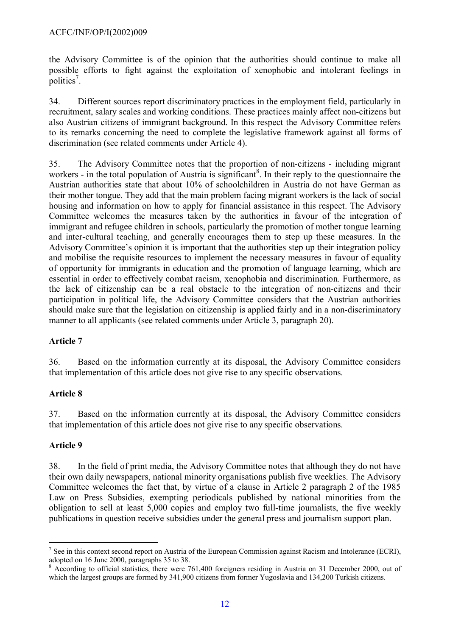the Advisory Committee is of the opinion that the authorities should continue to make all possible efforts to fight against the exploitation of xenophobic and intolerant feelings in politics<sup>[7](#page-11-0)</sup>.

34. Different sources report discriminatory practices in the employment field, particularly in recruitment, salary scales and working conditions. These practices mainly affect non-citizens but also Austrian citizens of immigrant background. In this respect the Advisory Committee refers to its remarks concerning the need to complete the legislative framework against all forms of discrimination (see related comments under Article 4).

35. The Advisory Committee notes that the proportion of non-citizens - including migrant workers - in the total population of Austria is significant<sup>[8](#page-11-1)</sup>. In their reply to the questionnaire the Austrian authorities state that about 10% of schoolchildren in Austria do not have German as their mother tongue. They add that the main problem facing migrant workers is the lack of social housing and information on how to apply for financial assistance in this respect. The Advisory Committee welcomes the measures taken by the authorities in favour of the integration of immigrant and refugee children in schools, particularly the promotion of mother tongue learning and inter-cultural teaching, and generally encourages them to step up these measures. In the Advisory Committee's opinion it is important that the authorities step up their integration policy and mobilise the requisite resources to implement the necessary measures in favour of equality of opportunity for immigrants in education and the promotion of language learning, which are essential in order to effectively combat racism, xenophobia and discrimination. Furthermore, as the lack of citizenship can be a real obstacle to the integration of non-citizens and their participation in political life, the Advisory Committee considers that the Austrian authorities should make sure that the legislation on citizenship is applied fairly and in a non-discriminatory manner to all applicants (see related comments under Article 3, paragraph 20).

# **Article 7**

36. Based on the information currently at its disposal, the Advisory Committee considers that implementation of this article does not give rise to any specific observations.

### **Article 8**

37. Based on the information currently at its disposal, the Advisory Committee considers that implementation of this article does not give rise to any specific observations.

### **Article 9**

 $\overline{a}$ 

38. In the field of print media, the Advisory Committee notes that although they do not have their own daily newspapers, national minority organisations publish five weeklies. The Advisory Committee welcomes the fact that, by virtue of a clause in Article 2 paragraph 2 of the 1985 Law on Press Subsidies, exempting periodicals published by national minorities from the obligation to sell at least 5,000 copies and employ two full-time journalists, the five weekly publications in question receive subsidies under the general press and journalism support plan.

<span id="page-11-0"></span> $<sup>7</sup>$  See in this context second report on Austria of the European Commission against Racism and Intolerance (ECRI),</sup> adopted on 16 June 2000, paragraphs 35 to 38.

<span id="page-11-1"></span> $8$  According to official statistics, there were 761,400 foreigners residing in Austria on 31 December 2000, out of which the largest groups are formed by 341,900 citizens from former Yugoslavia and 134,200 Turkish citizens.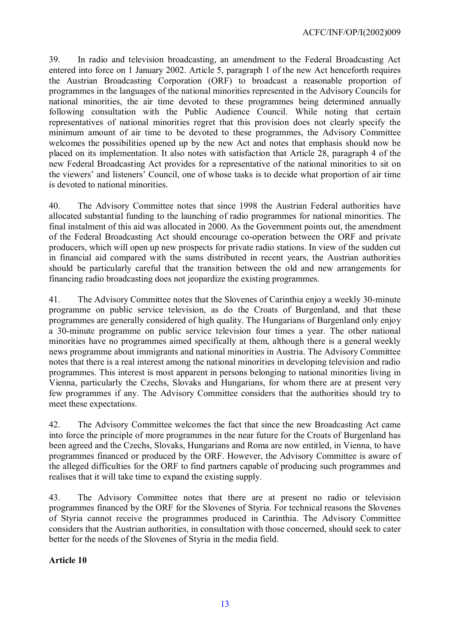39. In radio and television broadcasting, an amendment to the Federal Broadcasting Act entered into force on 1 January 2002. Article 5, paragraph 1 of the new Act henceforth requires the Austrian Broadcasting Corporation (ORF) to broadcast a reasonable proportion of programmes in the languages of the national minorities represented in the Advisory Councils for national minorities, the air time devoted to these programmes being determined annually following consultation with the Public Audience Council. While noting that certain representatives of national minorities regret that this provision does not clearly specify the minimum amount of air time to be devoted to these programmes, the Advisory Committee welcomes the possibilities opened up by the new Act and notes that emphasis should now be placed on its implementation. It also notes with satisfaction that Article 28, paragraph 4 of the new Federal Broadcasting Act provides for a representative of the national minorities to sit on the viewers' and listeners' Council, one of whose tasks is to decide what proportion of air time is devoted to national minorities.

40. The Advisory Committee notes that since 1998 the Austrian Federal authorities have allocated substantial funding to the launching of radio programmes for national minorities. The final instalment of this aid was allocated in 2000. As the Government points out, the amendment of the Federal Broadcasting Act should encourage co-operation between the ORF and private producers, which will open up new prospects for private radio stations. In view of the sudden cut in financial aid compared with the sums distributed in recent years, the Austrian authorities should be particularly careful that the transition between the old and new arrangements for financing radio broadcasting does not jeopardize the existing programmes.

41. The Advisory Committee notes that the Slovenes of Carinthia enjoy a weekly 30-minute programme on public service television, as do the Croats of Burgenland, and that these programmes are generally considered of high quality. The Hungarians of Burgenland only enjoy a 30-minute programme on public service television four times a year. The other national minorities have no programmes aimed specifically at them, although there is a general weekly news programme about immigrants and national minorities in Austria. The Advisory Committee notes that there is a real interest among the national minorities in developing television and radio programmes. This interest is most apparent in persons belonging to national minorities living in Vienna, particularly the Czechs, Slovaks and Hungarians, for whom there are at present very few programmes if any. The Advisory Committee considers that the authorities should try to meet these expectations.

42. The Advisory Committee welcomes the fact that since the new Broadcasting Act came into force the principle of more programmes in the near future for the Croats of Burgenland has been agreed and the Czechs, Slovaks, Hungarians and Roma are now entitled, in Vienna, to have programmes financed or produced by the ORF. However, the Advisory Committee is aware of the alleged difficulties for the ORF to find partners capable of producing such programmes and realises that it will take time to expand the existing supply.

43. The Advisory Committee notes that there are at present no radio or television programmes financed by the ORF for the Slovenes of Styria. For technical reasons the Slovenes of Styria cannot receive the programmes produced in Carinthia. The Advisory Committee considers that the Austrian authorities, in consultation with those concerned, should seek to cater better for the needs of the Slovenes of Styria in the media field.

**Article 10**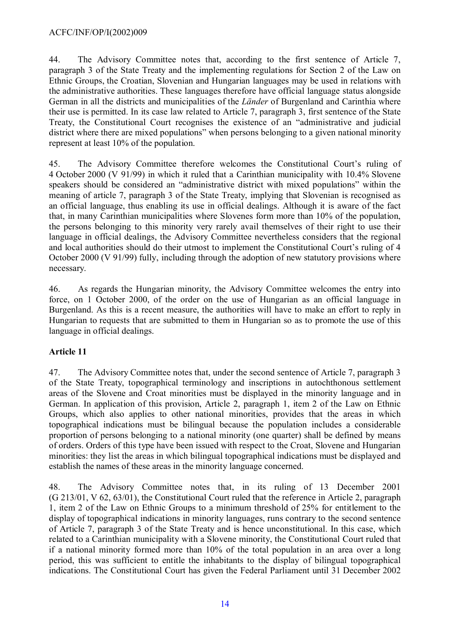### ACFC/INF/OP/I(2002)009

44. The Advisory Committee notes that, according to the first sentence of Article 7, paragraph 3 of the State Treaty and the implementing regulations for Section 2 of the Law on Ethnic Groups, the Croatian, Slovenian and Hungarian languages may be used in relations with the administrative authorities. These languages therefore have official language status alongside German in all the districts and municipalities of the *Länder* of Burgenland and Carinthia where their use is permitted. In its case law related to Article 7, paragraph 3, first sentence of the State Treaty, the Constitutional Court recognises the existence of an "administrative and judicial district where there are mixed populations" when persons belonging to a given national minority represent at least 10% of the population.

45. The Advisory Committee therefore welcomes the Constitutional Court's ruling of 4 October 2000 (V 91/99) in which it ruled that a Carinthian municipality with 10.4% Slovene speakers should be considered an "administrative district with mixed populations" within the meaning of article 7, paragraph 3 of the State Treaty, implying that Slovenian is recognised as an official language, thus enabling its use in official dealings. Although it is aware of the fact that, in many Carinthian municipalities where Slovenes form more than 10% of the population, the persons belonging to this minority very rarely avail themselves of their right to use their language in official dealings, the Advisory Committee nevertheless considers that the regional and local authorities should do their utmost to implement the Constitutional Court's ruling of 4 October 2000 (V 91/99) fully, including through the adoption of new statutory provisions where necessary.

46. As regards the Hungarian minority, the Advisory Committee welcomes the entry into force, on 1 October 2000, of the order on the use of Hungarian as an official language in Burgenland. As this is a recent measure, the authorities will have to make an effort to reply in Hungarian to requests that are submitted to them in Hungarian so as to promote the use of this language in official dealings.

# **Article 11**

47. The Advisory Committee notes that, under the second sentence of Article 7, paragraph 3 of the State Treaty, topographical terminology and inscriptions in autochthonous settlement areas of the Slovene and Croat minorities must be displayed in the minority language and in German. In application of this provision, Article 2, paragraph 1, item 2 of the Law on Ethnic Groups, which also applies to other national minorities, provides that the areas in which topographical indications must be bilingual because the population includes a considerable proportion of persons belonging to a national minority (one quarter) shall be defined by means of orders. Orders of this type have been issued with respect to the Croat, Slovene and Hungarian minorities: they list the areas in which bilingual topographical indications must be displayed and establish the names of these areas in the minority language concerned.

48. The Advisory Committee notes that, in its ruling of 13 December 2001 (G 213/01, V 62, 63/01), the Constitutional Court ruled that the reference in Article 2, paragraph 1, item 2 of the Law on Ethnic Groups to a minimum threshold of 25% for entitlement to the display of topographical indications in minority languages, runs contrary to the second sentence of Article 7, paragraph 3 of the State Treaty and is hence unconstitutional. In this case, which related to a Carinthian municipality with a Slovene minority, the Constitutional Court ruled that if a national minority formed more than 10% of the total population in an area over a long period, this was sufficient to entitle the inhabitants to the display of bilingual topographical indications. The Constitutional Court has given the Federal Parliament until 31 December 2002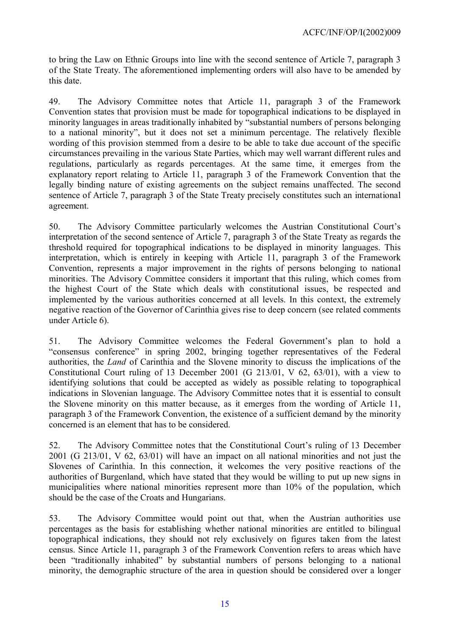to bring the Law on Ethnic Groups into line with the second sentence of Article 7, paragraph 3 of the State Treaty. The aforementioned implementing orders will also have to be amended by this date.

49. The Advisory Committee notes that Article 11, paragraph 3 of the Framework Convention states that provision must be made for topographical indications to be displayed in minority languages in areas traditionally inhabited by "substantial numbers of persons belonging to a national minority", but it does not set a minimum percentage. The relatively flexible wording of this provision stemmed from a desire to be able to take due account of the specific circumstances prevailing in the various State Parties, which may well warrant different rules and regulations, particularly as regards percentages. At the same time, it emerges from the explanatory report relating to Article 11, paragraph 3 of the Framework Convention that the legally binding nature of existing agreements on the subject remains unaffected. The second sentence of Article 7, paragraph 3 of the State Treaty precisely constitutes such an international agreement.

50. The Advisory Committee particularly welcomes the Austrian Constitutional Court's interpretation of the second sentence of Article 7, paragraph 3 of the State Treaty as regards the threshold required for topographical indications to be displayed in minority languages. This interpretation, which is entirely in keeping with Article 11, paragraph 3 of the Framework Convention, represents a major improvement in the rights of persons belonging to national minorities. The Advisory Committee considers it important that this ruling, which comes from the highest Court of the State which deals with constitutional issues, be respected and implemented by the various authorities concerned at all levels. In this context, the extremely negative reaction of the Governor of Carinthia gives rise to deep concern (see related comments under Article 6).

51. The Advisory Committee welcomes the Federal Government's plan to hold a "consensus conference" in spring 2002, bringing together representatives of the Federal authorities, the *Land* of Carinthia and the Slovene minority to discuss the implications of the Constitutional Court ruling of 13 December 2001 (G 213/01, V 62, 63/01), with a view to identifying solutions that could be accepted as widely as possible relating to topographical indications in Slovenian language. The Advisory Committee notes that it is essential to consult the Slovene minority on this matter because, as it emerges from the wording of Article 11, paragraph 3 of the Framework Convention, the existence of a sufficient demand by the minority concerned is an element that has to be considered.

52. The Advisory Committee notes that the Constitutional Court's ruling of 13 December 2001 (G 213/01, V 62, 63/01) will have an impact on all national minorities and not just the Slovenes of Carinthia. In this connection, it welcomes the very positive reactions of the authorities of Burgenland, which have stated that they would be willing to put up new signs in municipalities where national minorities represent more than 10% of the population, which should be the case of the Croats and Hungarians.

53. The Advisory Committee would point out that, when the Austrian authorities use percentages as the basis for establishing whether national minorities are entitled to bilingual topographical indications, they should not rely exclusively on figures taken from the latest census. Since Article 11, paragraph 3 of the Framework Convention refers to areas which have been "traditionally inhabited" by substantial numbers of persons belonging to a national minority, the demographic structure of the area in question should be considered over a longer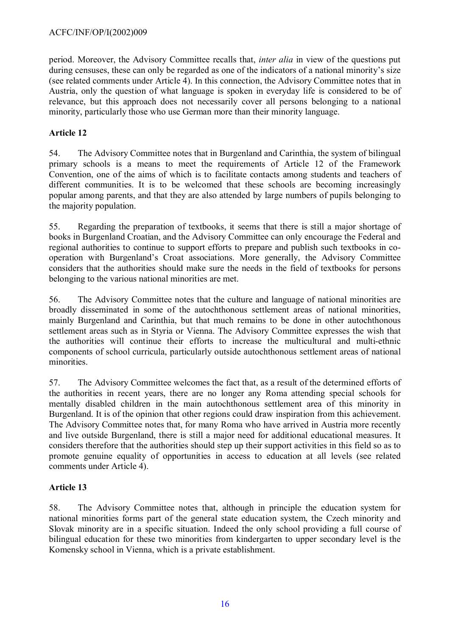period. Moreover, the Advisory Committee recalls that, *inter alia* in view of the questions put during censuses, these can only be regarded as one of the indicators of a national minority's size (see related comments under Article 4). In this connection, the Advisory Committee notes that in Austria, only the question of what language is spoken in everyday life is considered to be of relevance, but this approach does not necessarily cover all persons belonging to a national minority, particularly those who use German more than their minority language.

# **Article 12**

54. The Advisory Committee notes that in Burgenland and Carinthia, the system of bilingual primary schools is a means to meet the requirements of Article 12 of the Framework Convention, one of the aims of which is to facilitate contacts among students and teachers of different communities. It is to be welcomed that these schools are becoming increasingly popular among parents, and that they are also attended by large numbers of pupils belonging to the majority population.

55. Regarding the preparation of textbooks, it seems that there is still a major shortage of books in Burgenland Croatian, and the Advisory Committee can only encourage the Federal and regional authorities to continue to support efforts to prepare and publish such textbooks in cooperation with Burgenland's Croat associations. More generally, the Advisory Committee considers that the authorities should make sure the needs in the field of textbooks for persons belonging to the various national minorities are met.

56. The Advisory Committee notes that the culture and language of national minorities are broadly disseminated in some of the autochthonous settlement areas of national minorities, mainly Burgenland and Carinthia, but that much remains to be done in other autochthonous settlement areas such as in Styria or Vienna. The Advisory Committee expresses the wish that the authorities will continue their efforts to increase the multicultural and multi-ethnic components of school curricula, particularly outside autochthonous settlement areas of national minorities.

57. The Advisory Committee welcomes the fact that, as a result of the determined efforts of the authorities in recent years, there are no longer any Roma attending special schools for mentally disabled children in the main autochthonous settlement area of this minority in Burgenland. It is of the opinion that other regions could draw inspiration from this achievement. The Advisory Committee notes that, for many Roma who have arrived in Austria more recently and live outside Burgenland, there is still a major need for additional educational measures. It considers therefore that the authorities should step up their support activities in this field so as to promote genuine equality of opportunities in access to education at all levels (see related comments under Article 4).

# **Article 13**

58. The Advisory Committee notes that, although in principle the education system for national minorities forms part of the general state education system, the Czech minority and Slovak minority are in a specific situation. Indeed the only school providing a full course of bilingual education for these two minorities from kindergarten to upper secondary level is the Komensky school in Vienna, which is a private establishment.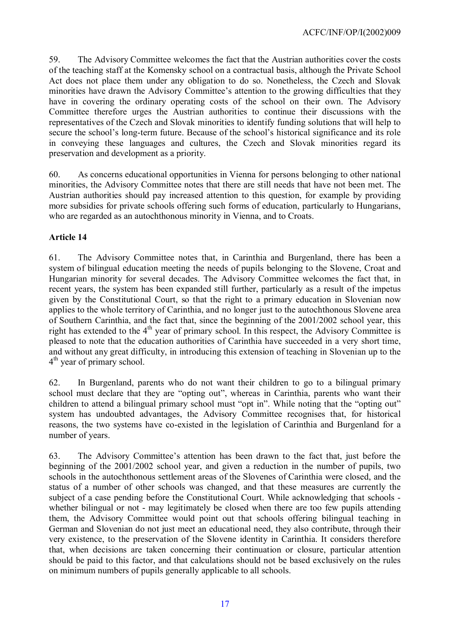59. The Advisory Committee welcomes the fact that the Austrian authorities cover the costs of the teaching staff at the Komensky school on a contractual basis, although the Private School Act does not place them under any obligation to do so. Nonetheless, the Czech and Slovak minorities have drawn the Advisory Committee's attention to the growing difficulties that they have in covering the ordinary operating costs of the school on their own. The Advisory Committee therefore urges the Austrian authorities to continue their discussions with the representatives of the Czech and Slovak minorities to identify funding solutions that will help to secure the school's long-term future. Because of the school's historical significance and its role in conveying these languages and cultures, the Czech and Slovak minorities regard its preservation and development as a priority.

60. As concerns educational opportunities in Vienna for persons belonging to other national minorities, the Advisory Committee notes that there are still needs that have not been met. The Austrian authorities should pay increased attention to this question, for example by providing more subsidies for private schools offering such forms of education, particularly to Hungarians, who are regarded as an autochthonous minority in Vienna, and to Croats.

### **Article 14**

61. The Advisory Committee notes that, in Carinthia and Burgenland, there has been a system of bilingual education meeting the needs of pupils belonging to the Slovene, Croat and Hungarian minority for several decades. The Advisory Committee welcomes the fact that, in recent years, the system has been expanded still further, particularly as a result of the impetus given by the Constitutional Court, so that the right to a primary education in Slovenian now applies to the whole territory of Carinthia, and no longer just to the autochthonous Slovene area of Southern Carinthia, and the fact that, since the beginning of the 2001/2002 school year, this right has extended to the  $4<sup>th</sup>$  year of primary school. In this respect, the Advisory Committee is pleased to note that the education authorities of Carinthia have succeeded in a very short time, and without any great difficulty, in introducing this extension of teaching in Slovenian up to the 4<sup>th</sup> year of primary school.

62. In Burgenland, parents who do not want their children to go to a bilingual primary school must declare that they are "opting out", whereas in Carinthia, parents who want their children to attend a bilingual primary school must "opt in". While noting that the "opting out" system has undoubted advantages, the Advisory Committee recognises that, for historical reasons, the two systems have co-existed in the legislation of Carinthia and Burgenland for a number of years.

63. The Advisory Committee's attention has been drawn to the fact that, just before the beginning of the 2001/2002 school year, and given a reduction in the number of pupils, two schools in the autochthonous settlement areas of the Slovenes of Carinthia were closed, and the status of a number of other schools was changed, and that these measures are currently the subject of a case pending before the Constitutional Court. While acknowledging that schools whether bilingual or not - may legitimately be closed when there are too few pupils attending them, the Advisory Committee would point out that schools offering bilingual teaching in German and Slovenian do not just meet an educational need, they also contribute, through their very existence, to the preservation of the Slovene identity in Carinthia. It considers therefore that, when decisions are taken concerning their continuation or closure, particular attention should be paid to this factor, and that calculations should not be based exclusively on the rules on minimum numbers of pupils generally applicable to all schools.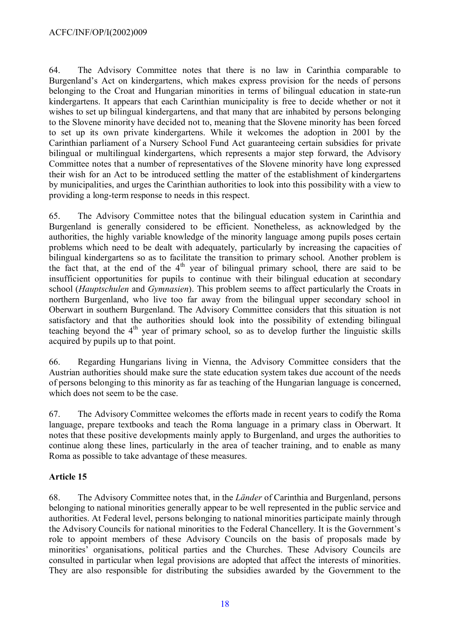64. The Advisory Committee notes that there is no law in Carinthia comparable to Burgenland's Act on kindergartens, which makes express provision for the needs of persons belonging to the Croat and Hungarian minorities in terms of bilingual education in state-run kindergartens. It appears that each Carinthian municipality is free to decide whether or not it wishes to set up bilingual kindergartens, and that many that are inhabited by persons belonging to the Slovene minority have decided not to, meaning that the Slovene minority has been forced to set up its own private kindergartens. While it welcomes the adoption in 2001 by the Carinthian parliament of a Nursery School Fund Act guaranteeing certain subsidies for private bilingual or multilingual kindergartens, which represents a major step forward, the Advisory Committee notes that a number of representatives of the Slovene minority have long expressed their wish for an Act to be introduced settling the matter of the establishment of kindergartens by municipalities, and urges the Carinthian authorities to look into this possibility with a view to providing a long-term response to needs in this respect.

65. The Advisory Committee notes that the bilingual education system in Carinthia and Burgenland is generally considered to be efficient. Nonetheless, as acknowledged by the authorities, the highly variable knowledge of the minority language among pupils poses certain problems which need to be dealt with adequately, particularly by increasing the capacities of bilingual kindergartens so as to facilitate the transition to primary school. Another problem is the fact that, at the end of the  $4<sup>th</sup>$  year of bilingual primary school, there are said to be insufficient opportunities for pupils to continue with their bilingual education at secondary school (*Hauptschulen* and *Gymnasien*). This problem seems to affect particularly the Croats in northern Burgenland, who live too far away from the bilingual upper secondary school in Oberwart in southern Burgenland. The Advisory Committee considers that this situation is not satisfactory and that the authorities should look into the possibility of extending bilingual teaching beyond the  $4<sup>th</sup>$  year of primary school, so as to develop further the linguistic skills acquired by pupils up to that point.

66. Regarding Hungarians living in Vienna, the Advisory Committee considers that the Austrian authorities should make sure the state education system takes due account of the needs of persons belonging to this minority as far as teaching of the Hungarian language is concerned, which does not seem to be the case.

67. The Advisory Committee welcomes the efforts made in recent years to codify the Roma language, prepare textbooks and teach the Roma language in a primary class in Oberwart. It notes that these positive developments mainly apply to Burgenland, and urges the authorities to continue along these lines, particularly in the area of teacher training, and to enable as many Roma as possible to take advantage of these measures.

# **Article 15**

68. The Advisory Committee notes that, in the *Länder* of Carinthia and Burgenland, persons belonging to national minorities generally appear to be well represented in the public service and authorities. At Federal level, persons belonging to national minorities participate mainly through the Advisory Councils for national minorities to the Federal Chancellery. It is the Government's role to appoint members of these Advisory Councils on the basis of proposals made by minorities' organisations, political parties and the Churches. These Advisory Councils are consulted in particular when legal provisions are adopted that affect the interests of minorities. They are also responsible for distributing the subsidies awarded by the Government to the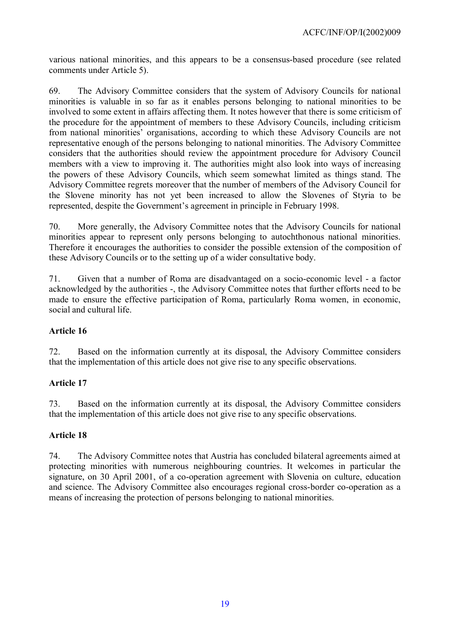various national minorities, and this appears to be a consensus-based procedure (see related comments under Article 5).

69. The Advisory Committee considers that the system of Advisory Councils for national minorities is valuable in so far as it enables persons belonging to national minorities to be involved to some extent in affairs affecting them. It notes however that there is some criticism of the procedure for the appointment of members to these Advisory Councils, including criticism from national minorities' organisations, according to which these Advisory Councils are not representative enough of the persons belonging to national minorities. The Advisory Committee considers that the authorities should review the appointment procedure for Advisory Council members with a view to improving it. The authorities might also look into ways of increasing the powers of these Advisory Councils, which seem somewhat limited as things stand. The Advisory Committee regrets moreover that the number of members of the Advisory Council for the Slovene minority has not yet been increased to allow the Slovenes of Styria to be represented, despite the Government's agreement in principle in February 1998.

70. More generally, the Advisory Committee notes that the Advisory Councils for national minorities appear to represent only persons belonging to autochthonous national minorities. Therefore it encourages the authorities to consider the possible extension of the composition of these Advisory Councils or to the setting up of a wider consultative body.

71. Given that a number of Roma are disadvantaged on a socio-economic level - a factor acknowledged by the authorities -, the Advisory Committee notes that further efforts need to be made to ensure the effective participation of Roma, particularly Roma women, in economic, social and cultural life.

### **Article 16**

72. Based on the information currently at its disposal, the Advisory Committee considers that the implementation of this article does not give rise to any specific observations.

# **Article 17**

73. Based on the information currently at its disposal, the Advisory Committee considers that the implementation of this article does not give rise to any specific observations.

### **Article 18**

74. The Advisory Committee notes that Austria has concluded bilateral agreements aimed at protecting minorities with numerous neighbouring countries. It welcomes in particular the signature, on 30 April 2001, of a co-operation agreement with Slovenia on culture, education and science. The Advisory Committee also encourages regional cross-border co-operation as a means of increasing the protection of persons belonging to national minorities.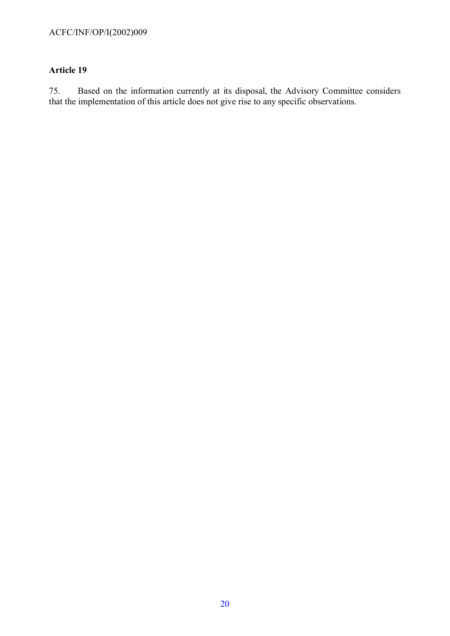### **Article 19**

75. Based on the information currently at its disposal, the Advisory Committee considers that the implementation of this article does not give rise to any specific observations.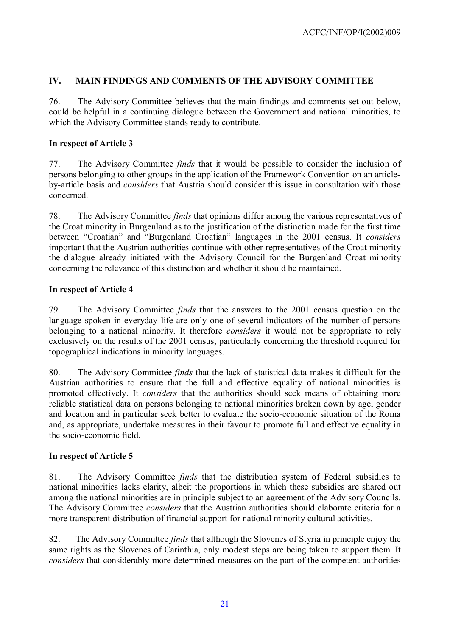### **IV. MAIN FINDINGS AND COMMENTS OF THE ADVISORY COMMITTEE**

76. The Advisory Committee believes that the main findings and comments set out below, could be helpful in a continuing dialogue between the Government and national minorities, to which the Advisory Committee stands ready to contribute.

### **In respect of Article 3**

77. The Advisory Committee *finds* that it would be possible to consider the inclusion of persons belonging to other groups in the application of the Framework Convention on an articleby-article basis and *considers* that Austria should consider this issue in consultation with those concerned.

78. The Advisory Committee *finds* that opinions differ among the various representatives of the Croat minority in Burgenland as to the justification of the distinction made for the first time between "Croatian" and "Burgenland Croatian" languages in the 2001 census. It *considers* important that the Austrian authorities continue with other representatives of the Croat minority the dialogue already initiated with the Advisory Council for the Burgenland Croat minority concerning the relevance of this distinction and whether it should be maintained.

### **In respect of Article 4**

79. The Advisory Committee *finds* that the answers to the 2001 census question on the language spoken in everyday life are only one of several indicators of the number of persons belonging to a national minority. It therefore *considers* it would not be appropriate to rely exclusively on the results of the 2001 census, particularly concerning the threshold required for topographical indications in minority languages.

80. The Advisory Committee *finds* that the lack of statistical data makes it difficult for the Austrian authorities to ensure that the full and effective equality of national minorities is promoted effectively. It *considers* that the authorities should seek means of obtaining more reliable statistical data on persons belonging to national minorities broken down by age, gender and location and in particular seek better to evaluate the socio-economic situation of the Roma and, as appropriate, undertake measures in their favour to promote full and effective equality in the socio-economic field.

# **In respect of Article 5**

81. The Advisory Committee *finds* that the distribution system of Federal subsidies to national minorities lacks clarity, albeit the proportions in which these subsidies are shared out among the national minorities are in principle subject to an agreement of the Advisory Councils. The Advisory Committee *considers* that the Austrian authorities should elaborate criteria for a more transparent distribution of financial support for national minority cultural activities.

82. The Advisory Committee *finds* that although the Slovenes of Styria in principle enjoy the same rights as the Slovenes of Carinthia, only modest steps are being taken to support them. It *considers* that considerably more determined measures on the part of the competent authorities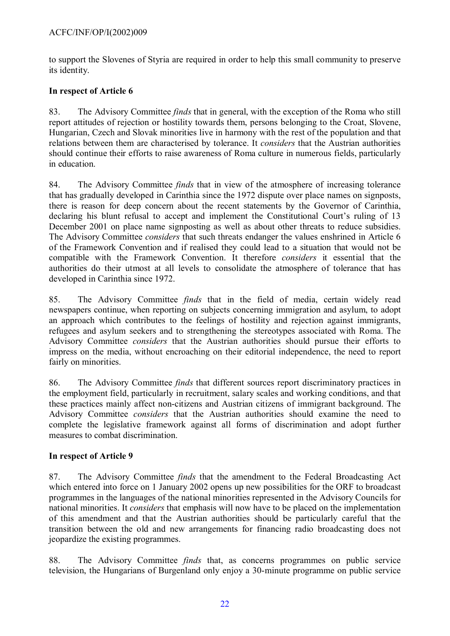to support the Slovenes of Styria are required in order to help this small community to preserve its identity.

### **In respect of Article 6**

83. The Advisory Committee *finds* that in general, with the exception of the Roma who still report attitudes of rejection or hostility towards them, persons belonging to the Croat, Slovene, Hungarian, Czech and Slovak minorities live in harmony with the rest of the population and that relations between them are characterised by tolerance. It *considers* that the Austrian authorities should continue their efforts to raise awareness of Roma culture in numerous fields, particularly in education.

84. The Advisory Committee *finds* that in view of the atmosphere of increasing tolerance that has gradually developed in Carinthia since the 1972 dispute over place names on signposts, there is reason for deep concern about the recent statements by the Governor of Carinthia, declaring his blunt refusal to accept and implement the Constitutional Court's ruling of 13 December 2001 on place name signposting as well as about other threats to reduce subsidies. The Advisory Committee *considers* that such threats endanger the values enshrined in Article 6 of the Framework Convention and if realised they could lead to a situation that would not be compatible with the Framework Convention. It therefore *considers* it essential that the authorities do their utmost at all levels to consolidate the atmosphere of tolerance that has developed in Carinthia since 1972.

85. The Advisory Committee *finds* that in the field of media, certain widely read newspapers continue, when reporting on subjects concerning immigration and asylum, to adopt an approach which contributes to the feelings of hostility and rejection against immigrants, refugees and asylum seekers and to strengthening the stereotypes associated with Roma. The Advisory Committee *considers* that the Austrian authorities should pursue their efforts to impress on the media, without encroaching on their editorial independence, the need to report fairly on minorities.

86. The Advisory Committee *finds* that different sources report discriminatory practices in the employment field, particularly in recruitment, salary scales and working conditions, and that these practices mainly affect non-citizens and Austrian citizens of immigrant background. The Advisory Committee *considers* that the Austrian authorities should examine the need to complete the legislative framework against all forms of discrimination and adopt further measures to combat discrimination.

# **In respect of Article 9**

87. The Advisory Committee *finds* that the amendment to the Federal Broadcasting Act which entered into force on 1 January 2002 opens up new possibilities for the ORF to broadcast programmes in the languages of the national minorities represented in the Advisory Councils for national minorities. It *considers* that emphasis will now have to be placed on the implementation of this amendment and that the Austrian authorities should be particularly careful that the transition between the old and new arrangements for financing radio broadcasting does not jeopardize the existing programmes.

88. The Advisory Committee *finds* that, as concerns programmes on public service television, the Hungarians of Burgenland only enjoy a 30-minute programme on public service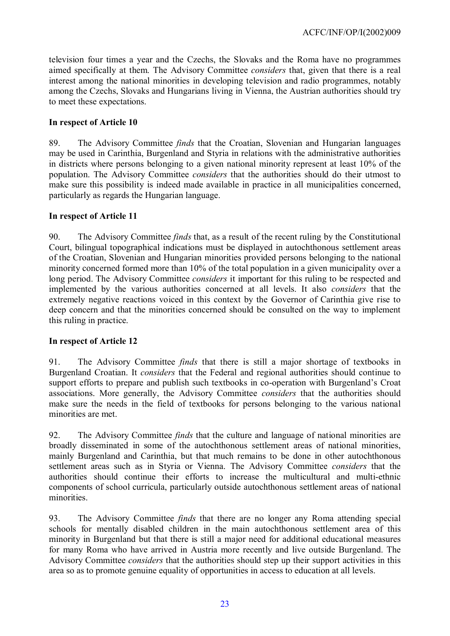television four times a year and the Czechs, the Slovaks and the Roma have no programmes aimed specifically at them. The Advisory Committee *considers* that, given that there is a real interest among the national minorities in developing television and radio programmes, notably among the Czechs, Slovaks and Hungarians living in Vienna, the Austrian authorities should try to meet these expectations.

### **In respect of Article 10**

89. The Advisory Committee *finds* that the Croatian, Slovenian and Hungarian languages may be used in Carinthia, Burgenland and Styria in relations with the administrative authorities in districts where persons belonging to a given national minority represent at least 10% of the population. The Advisory Committee *considers* that the authorities should do their utmost to make sure this possibility is indeed made available in practice in all municipalities concerned, particularly as regards the Hungarian language.

#### **In respect of Article 11**

90. The Advisory Committee *finds* that, as a result of the recent ruling by the Constitutional Court, bilingual topographical indications must be displayed in autochthonous settlement areas of the Croatian, Slovenian and Hungarian minorities provided persons belonging to the national minority concerned formed more than 10% of the total population in a given municipality over a long period. The Advisory Committee *considers* it important for this ruling to be respected and implemented by the various authorities concerned at all levels. It also *considers* that the extremely negative reactions voiced in this context by the Governor of Carinthia give rise to deep concern and that the minorities concerned should be consulted on the way to implement this ruling in practice.

### **In respect of Article 12**

91. The Advisory Committee *finds* that there is still a major shortage of textbooks in Burgenland Croatian. It *considers* that the Federal and regional authorities should continue to support efforts to prepare and publish such textbooks in co-operation with Burgenland's Croat associations. More generally, the Advisory Committee *considers* that the authorities should make sure the needs in the field of textbooks for persons belonging to the various national minorities are met.

92. The Advisory Committee *finds* that the culture and language of national minorities are broadly disseminated in some of the autochthonous settlement areas of national minorities, mainly Burgenland and Carinthia, but that much remains to be done in other autochthonous settlement areas such as in Styria or Vienna. The Advisory Committee *considers* that the authorities should continue their efforts to increase the multicultural and multi-ethnic components of school curricula, particularly outside autochthonous settlement areas of national minorities.

93. The Advisory Committee *finds* that there are no longer any Roma attending special schools for mentally disabled children in the main autochthonous settlement area of this minority in Burgenland but that there is still a major need for additional educational measures for many Roma who have arrived in Austria more recently and live outside Burgenland. The Advisory Committee *considers* that the authorities should step up their support activities in this area so as to promote genuine equality of opportunities in access to education at all levels.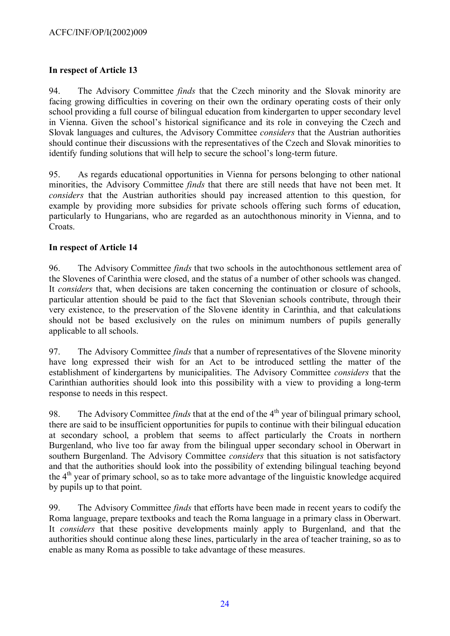#### **In respect of Article 13**

94. The Advisory Committee *finds* that the Czech minority and the Slovak minority are facing growing difficulties in covering on their own the ordinary operating costs of their only school providing a full course of bilingual education from kindergarten to upper secondary level in Vienna. Given the school's historical significance and its role in conveying the Czech and Slovak languages and cultures, the Advisory Committee *considers* that the Austrian authorities should continue their discussions with the representatives of the Czech and Slovak minorities to identify funding solutions that will help to secure the school's long-term future.

95. As regards educational opportunities in Vienna for persons belonging to other national minorities, the Advisory Committee *finds* that there are still needs that have not been met. It *considers* that the Austrian authorities should pay increased attention to this question, for example by providing more subsidies for private schools offering such forms of education, particularly to Hungarians, who are regarded as an autochthonous minority in Vienna, and to Croats.

#### **In respect of Article 14**

96. The Advisory Committee *finds* that two schools in the autochthonous settlement area of the Slovenes of Carinthia were closed, and the status of a number of other schools was changed. It *considers* that, when decisions are taken concerning the continuation or closure of schools, particular attention should be paid to the fact that Slovenian schools contribute, through their very existence, to the preservation of the Slovene identity in Carinthia, and that calculations should not be based exclusively on the rules on minimum numbers of pupils generally applicable to all schools.

97. The Advisory Committee *finds* that a number of representatives of the Slovene minority have long expressed their wish for an Act to be introduced settling the matter of the establishment of kindergartens by municipalities. The Advisory Committee *considers* that the Carinthian authorities should look into this possibility with a view to providing a long-term response to needs in this respect.

98. The Advisory Committee *finds* that at the end of the 4<sup>th</sup> year of bilingual primary school, there are said to be insufficient opportunities for pupils to continue with their bilingual education at secondary school, a problem that seems to affect particularly the Croats in northern Burgenland, who live too far away from the bilingual upper secondary school in Oberwart in southern Burgenland. The Advisory Committee *considers* that this situation is not satisfactory and that the authorities should look into the possibility of extending bilingual teaching beyond the 4th year of primary school, so as to take more advantage of the linguistic knowledge acquired by pupils up to that point.

99. The Advisory Committee *finds* that efforts have been made in recent years to codify the Roma language, prepare textbooks and teach the Roma language in a primary class in Oberwart. It *considers* that these positive developments mainly apply to Burgenland, and that the authorities should continue along these lines, particularly in the area of teacher training, so as to enable as many Roma as possible to take advantage of these measures.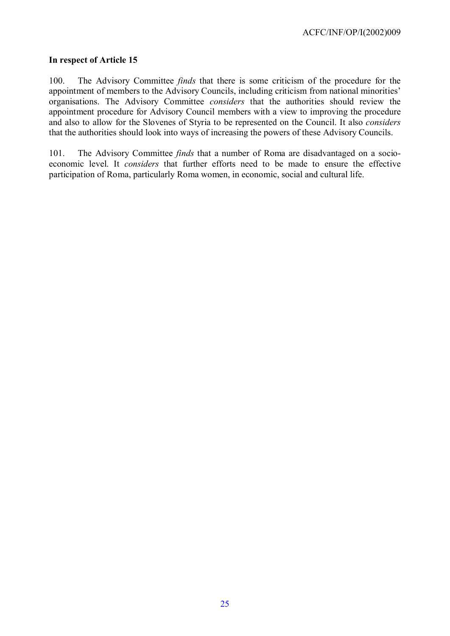#### **In respect of Article 15**

100. The Advisory Committee *finds* that there is some criticism of the procedure for the appointment of members to the Advisory Councils, including criticism from national minorities' organisations. The Advisory Committee *considers* that the authorities should review the appointment procedure for Advisory Council members with a view to improving the procedure and also to allow for the Slovenes of Styria to be represented on the Council. It also *considers* that the authorities should look into ways of increasing the powers of these Advisory Councils.

101. The Advisory Committee *finds* that a number of Roma are disadvantaged on a socioeconomic level. It *considers* that further efforts need to be made to ensure the effective participation of Roma, particularly Roma women, in economic, social and cultural life.